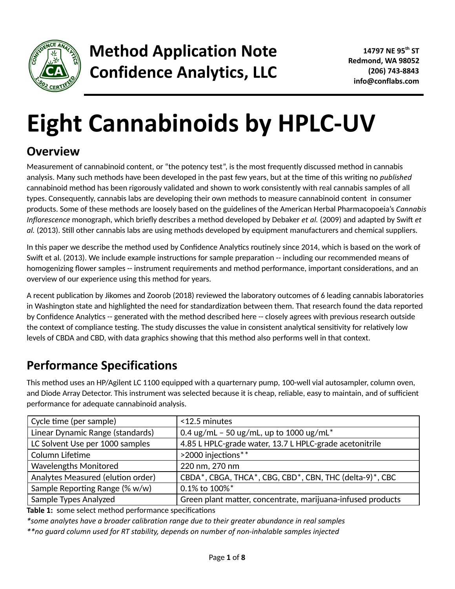

# **Eight Cannabinoids by HPLC-UV**

# **Overview**

Measurement of cannabinoid content, or "the potency test", is the most frequently discussed method in cannabis analysis. Many such methods have been developed in the past few years, but at the time of this writing no *published* cannabinoid method has been rigorously validated and shown to work consistently with real cannabis samples of all types. Consequently, cannabis labs are developing their own methods to measure cannabinoid content in consumer products. Some of these methods are loosely based on the guidelines of the American Herbal Pharmacopoeia's *Cannabis Inflorescence* monograph, which briefly describes a method developed by Debaker *et al.* (2009) and adapted by Swift *et* al. (2013). Still other cannabis labs are using methods developed by equipment manufacturers and chemical suppliers.

In this paper we describe the method used by Confidence Analytics routinely since 2014, which is based on the work of Swift et al. (2013). We include example instructions for sample preparation -- including our recommended means of homogenizing flower samples -- instrument requirements and method performance, important considerations, and an overview of our experience using this method for years.

A recent publication by Jikomes and Zoorob (2018) reviewed the laboratory outcomes of 6 leading cannabis laboratories in Washington state and highlighted the need for standardization between them. That research found the data reported by Confidence Analytics -- generated with the method described here -- closely agrees with previous research outside the context of compliance testing. The study discusses the value in consistent analytical sensitivity for relatively low levels of CBDA and CBD, with data graphics showing that this method also performs well in that context.

# **Performance Specifications**

This method uses an HP/Agilent LC 1100 equipped with a quarternary pump, 100-well vial autosampler, column oven, and Diode Array Detector. This instrument was selected because it is cheap, reliable, easy to maintain, and of sufficient performance for adequate cannabinoid analysis.

| Cycle time (per sample)           | <12.5 minutes                                               |  |
|-----------------------------------|-------------------------------------------------------------|--|
| Linear Dynamic Range (standards)  | 0.4 ug/mL - 50 ug/mL, up to 1000 ug/mL*                     |  |
| LC Solvent Use per 1000 samples   | 4.85 L HPLC-grade water, 13.7 L HPLC-grade acetonitrile     |  |
| Column Lifetime                   | >2000 injections**                                          |  |
| <b>Wavelengths Monitored</b>      | 220 nm, 270 nm                                              |  |
| Analytes Measured (elution order) | CBDA*, CBGA, THCA*, CBG, CBD*, CBN, THC (delta-9)*, CBC     |  |
| Sample Reporting Range (% w/w)    | 0.1% to 100%*                                               |  |
| Sample Types Analyzed             | Green plant matter, concentrate, marijuana-infused products |  |

**Table 1:** some select method performance specifications

*\*some analytes have a broader calibration range due to their greater abundance in real samples*

*\*\*no guard column used for RT stability, depends on number of non-inhalable samples injected*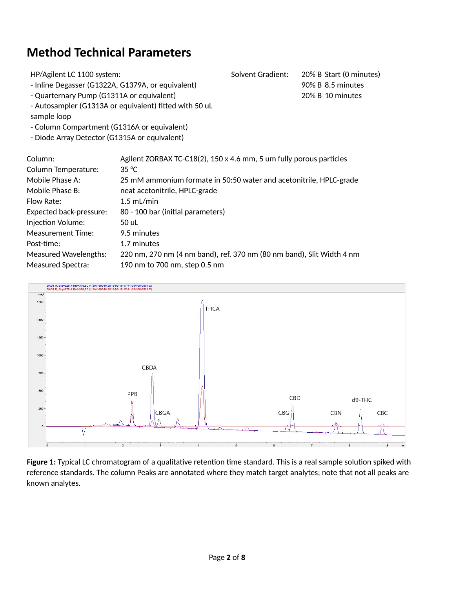# **Method Technical Parameters**

| HP/Agilent LC 1100 system:                        |                                                                                       | Solvent Gradient: | 20% B Start (0 minutes) |
|---------------------------------------------------|---------------------------------------------------------------------------------------|-------------------|-------------------------|
| - Inline Degasser (G1322A, G1379A, or equivalent) |                                                                                       |                   | 90% B 8.5 minutes       |
| - Quarternary Pump (G1311A or equivalent)         |                                                                                       |                   | 20% B 10 minutes        |
|                                                   | - Autosampler (G1313A or equivalent) fitted with 50 uL                                |                   |                         |
| sample loop                                       |                                                                                       |                   |                         |
| - Column Compartment (G1316A or equivalent)       |                                                                                       |                   |                         |
| - Diode Array Detector (G1315A or equivalent)     |                                                                                       |                   |                         |
| Column:                                           |                                                                                       |                   |                         |
| Column Temperature:                               | Agilent ZORBAX TC-C18(2), 150 x 4.6 mm, 5 um fully porous particles<br>$35^{\circ}$ C |                   |                         |
|                                                   |                                                                                       |                   |                         |
| Mobile Phase A:                                   | 25 mM ammonium formate in 50:50 water and acetonitrile, HPLC-grade                    |                   |                         |
| Mobile Phase B:                                   | neat acetonitrile, HPLC-grade                                                         |                   |                         |
| Flow Rate:                                        | $1.5$ mL/min                                                                          |                   |                         |
| <b>Expected back-pressure:</b>                    | 80 - 100 bar (initial parameters)                                                     |                   |                         |
| Injection Volume:                                 | 50 uL                                                                                 |                   |                         |
| Measurement Time:                                 | 9.5 minutes                                                                           |                   |                         |
| Post-time:                                        | 1.7 minutes                                                                           |                   |                         |
| <b>Measured Wavelengths:</b>                      | 220 nm, 270 nm (4 nm band), ref. 370 nm (80 nm band), Slit Width 4 nm                 |                   |                         |
| <b>Measured Spectra:</b>                          | 190 nm to 700 nm, step 0.5 nm                                                         |                   |                         |



Figure 1: Typical LC chromatogram of a qualitative retention time standard. This is a real sample solution spiked with reference standards. The column Peaks are annotated where they match target analytes; note that not all peaks are known analytes.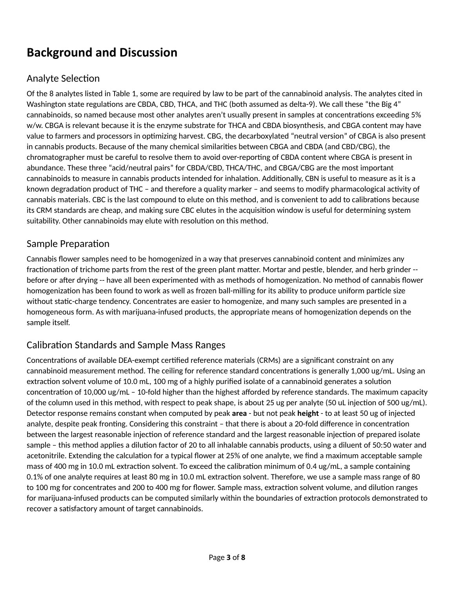# **Background and Discussion**

## Analyte Selection

Of the 8 analytes listed in Table 1, some are required by law to be part of the cannabinoid analysis. The analytes cited in Washington state regulations are CBDA, CBD, THCA, and THC (both assumed as delta-9). We call these "the Big 4" cannabinoids, so named because most other analytes aren't usually present in samples at concentrations exceeding 5% w/w. CBGA is relevant because it is the enzyme substrate for THCA and CBDA biosynthesis, and CBGA content may have value to farmers and processors in optimizing harvest. CBG, the decarboxylated "neutral version" of CBGA is also present in cannabis products. Because of the many chemical similarities between CBGA and CBDA (and CBD/CBG), the chromatographer must be careful to resolve them to avoid over-reporting of CBDA content where CBGA is present in abundance. These three "acid/neutral pairs" for CBDA/CBD, THCA/THC, and CBGA/CBG are the most important cannabinoids to measure in cannabis products intended for inhalation. Additionally, CBN is useful to measure as it is a known degradation product of THC – and therefore a quality marker – and seems to modify pharmacological activity of cannabis materials. CBC is the last compound to elute on this method, and is convenient to add to calibrations because its CRM standards are cheap, and making sure CBC elutes in the acquisition window is useful for determining system suitability. Other cannabinoids may elute with resolution on this method.

#### Sample Preparation

Cannabis flower samples need to be homogenized in a way that preserves cannabinoid content and minimizes any fractionation of trichome parts from the rest of the green plant matter. Mortar and pestle, blender, and herb grinder -before or after drying -- have all been experimented with as methods of homogenization. No method of cannabis flower homogenization has been found to work as well as frozen ball-milling for its ability to produce uniform particle size without static-charge tendency. Concentrates are easier to homogenize, and many such samples are presented in a homogeneous form. As with marijuana-infused products, the appropriate means of homogenization depends on the sample itself.

## Calibration Standards and Sample Mass Ranges

Concentrations of available DEA-exempt certified reference materials (CRMs) are a significant constraint on any cannabinoid measurement method. The ceiling for reference standard concentrations is generally 1,000 ug/mL. Using an extraction solvent volume of 10.0 mL, 100 mg of a highly purified isolate of a cannabinoid generates a solution concentration of 10,000 ug/mL - 10-fold higher than the highest afforded by reference standards. The maximum capacity of the column used in this method, with respect to peak shape, is about 25 ug per analyte (50 uL injection of 500 ug/mL). Detector response remains constant when computed by peak **area** - but not peak **height** - to at least 50 ug of injected analyte, despite peak fronting. Considering this constraint – that there is about a 20-fold difference in concentration between the largest reasonable injection of reference standard and the largest reasonable injection of prepared isolate sample - this method applies a dilution factor of 20 to all inhalable cannabis products, using a diluent of 50:50 water and acetonitrile. Extending the calculation for a typical flower at 25% of one analyte, we find a maximum acceptable sample mass of 400 mg in 10.0 mL extraction solvent. To exceed the calibration minimum of 0.4 ug/mL, a sample containing 0.1% of one analyte requires at least 80 mg in 10.0 mL extraction solvent. Therefore, we use a sample mass range of 80 to 100 mg for concentrates and 200 to 400 mg for flower. Sample mass, extraction solvent volume, and dilution ranges for marijuana-infused products can be computed similarly within the boundaries of extraction protocols demonstrated to recover a satisfactory amount of target cannabinoids.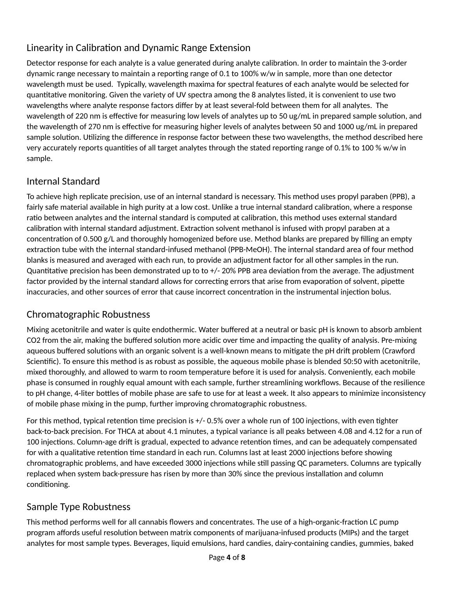# Linearity in Calibration and Dynamic Range Extension

Detector response for each analyte is a value generated during analyte calibration. In order to maintain the 3-order dynamic range necessary to maintain a reporting range of 0.1 to 100% w/w in sample, more than one detector wavelength must be used. Typically, wavelength maxima for spectral features of each analyte would be selected for quantitative monitoring. Given the variety of UV spectra among the 8 analytes listed, it is convenient to use two wavelengths where analyte response factors differ by at least several-fold between them for all analytes. The wavelength of 220 nm is effective for measuring low levels of analytes up to 50 ug/mL in prepared sample solution, and the wavelength of 270 nm is effective for measuring higher levels of analytes between 50 and 1000 ug/mL in prepared sample solution. Utilizing the difference in response factor between these two wavelengths, the method described here very accurately reports quantities of all target analytes through the stated reporting range of 0.1% to 100 % w/w in sample.

## Internal Standard

To achieve high replicate precision, use of an internal standard is necessary. This method uses propyl paraben (PPB), a fairly safe material available in high purity at a low cost. Unlike a true internal standard calibration, where a response ratio between analytes and the internal standard is computed at calibration, this method uses external standard calibration with internal standard adjustment. Extraction solvent methanol is infused with propyl paraben at a concentration of 0.500 g/L and thoroughly homogenized before use. Method blanks are prepared by filling an empty extraction tube with the internal standard-infused methanol (PPB-MeOH). The internal standard area of four method blanks is measured and averaged with each run, to provide an adjustment factor for all other samples in the run. Quantitative precision has been demonstrated up to to  $+/-$  20% PPB area deviation from the average. The adjustment factor provided by the internal standard allows for correcting errors that arise from evaporation of solvent, pipette inaccuracies, and other sources of error that cause incorrect concentration in the instrumental injection bolus.

## Chromatographic Robustness

Mixing acetonitrile and water is quite endothermic. Water buffered at a neutral or basic pH is known to absorb ambient CO2 from the air, making the buffered solution more acidic over time and impacting the quality of analysis. Pre-mixing aqueous buffered solutions with an organic solvent is a well-known means to mitigate the pH drift problem (Crawford Scienfic). To ensure this method is as robust as possible, the aqueous mobile phase is blended 50:50 with acetonitrile, mixed thoroughly, and allowed to warm to room temperature before it is used for analysis. Conveniently, each mobile phase is consumed in roughly equal amount with each sample, further streamlining workflows. Because of the resilience to pH change, 4-liter bottles of mobile phase are safe to use for at least a week. It also appears to minimize inconsistency of mobile phase mixing in the pump, further improving chromatographic robustness.

For this method, typical retention time precision is +/- 0.5% over a whole run of 100 injections, with even tighter back-to-back precision. For THCA at about 4.1 minutes, a typical variance is all peaks between 4.08 and 4.12 for a run of 100 injections. Column-age drift is gradual, expected to advance retention times, and can be adequately compensated for with a qualitative retention time standard in each run. Columns last at least 2000 injections before showing chromatographic problems, and have exceeded 3000 injections while still passing QC parameters. Columns are typically replaced when system back-pressure has risen by more than 30% since the previous installation and column conditioning.

## Sample Type Robustness

This method performs well for all cannabis flowers and concentrates. The use of a high-organic-fraction LC pump program affords useful resolution between matrix components of marijuana-infused products (MIPs) and the target analytes for most sample types. Beverages, liquid emulsions, hard candies, dairy-containing candies, gummies, baked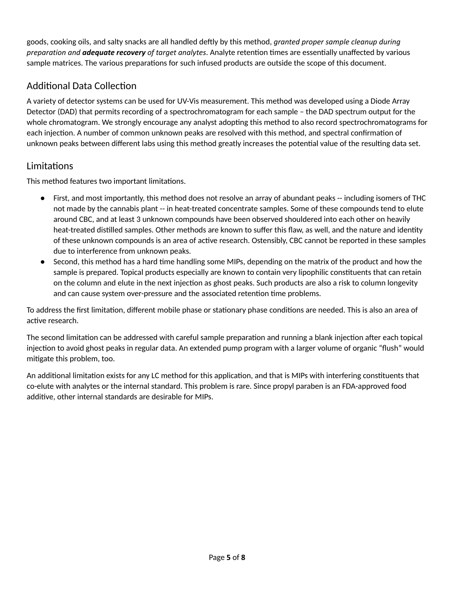goods, cooking oils, and salty snacks are all handled dely by this method, *granted proper sample cleanup during preparation and adequate recovery of target analytes*. Analyte retention times are essentially unaffected by various sample matrices. The various preparations for such infused products are outside the scope of this document.

# Additional Data Collection

A variety of detector systems can be used for UV-Vis measurement. This method was developed using a Diode Array Detector (DAD) that permits recording of a spectrochromatogram for each sample – the DAD spectrum output for the whole chromatogram. We strongly encourage any analyst adopting this method to also record spectrochromatograms for each injection. A number of common unknown peaks are resolved with this method, and spectral confirmation of unknown peaks between different labs using this method greatly increases the potential value of the resulting data set.

## Limitations

This method features two important limitations.

- First, and most importantly, this method does not resolve an array of abundant peaks -- including isomers of THC not made by the cannabis plant -- in heat-treated concentrate samples. Some of these compounds tend to elute around CBC, and at least 3 unknown compounds have been observed shouldered into each other on heavily heat-treated distilled samples. Other methods are known to suffer this flaw, as well, and the nature and identity of these unknown compounds is an area of active research. Ostensibly, CBC cannot be reported in these samples due to interference from unknown peaks.
- Second, this method has a hard time handling some MIPs, depending on the matrix of the product and how the sample is prepared. Topical products especially are known to contain very lipophilic constituents that can retain on the column and elute in the next injection as ghost peaks. Such products are also a risk to column longevity and can cause system over-pressure and the associated retention time problems.

To address the first limitation, different mobile phase or stationary phase conditions are needed. This is also an area of active research.

The second limitation can be addressed with careful sample preparation and running a blank injection after each topical injection to avoid ghost peaks in regular data. An extended pump program with a larger volume of organic "flush" would mitigate this problem, too.

An additional limitation exists for any LC method for this application, and that is MIPs with interfering constituents that co-elute with analytes or the internal standard. This problem is rare. Since propyl paraben is an FDA-approved food additive, other internal standards are desirable for MIPs.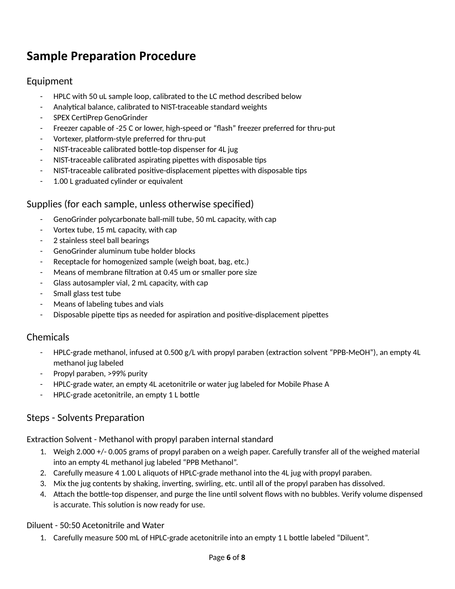# **Sample Preparation Procedure**

#### Equipment

- HPLC with 50 uL sample loop, calibrated to the LC method described below
- Analytical balance, calibrated to NIST-traceable standard weights
- SPEX CertiPrep GenoGrinder
- Freezer capable of -25 C or lower, high-speed or "flash" freezer preferred for thru-put
- Vortexer, platform-style preferred for thru-put
- NIST-traceable calibrated bottle-top dispenser for 4L jug
- NIST-traceable calibrated aspirating pipettes with disposable tips
- NIST-traceable calibrated positive-displacement pipettes with disposable tips
- 1.00 L graduated cylinder or equivalent

#### Supplies (for each sample, unless otherwise specified)

- GenoGrinder polycarbonate ball-mill tube, 50 mL capacity, with cap
- Vortex tube, 15 mL capacity, with cap
- 2 stainless steel ball bearings
- GenoGrinder aluminum tube holder blocks
- Receptacle for homogenized sample (weigh boat, bag, etc.)
- Means of membrane filtration at 0.45 um or smaller pore size
- Glass autosampler vial, 2 mL capacity, with cap
- Small glass test tube
- Means of labeling tubes and vials
- Disposable pipette tips as needed for aspiration and positive-displacement pipettes

#### Chemicals

- HPLC-grade methanol, infused at 0.500 g/L with propyl paraben (extraction solvent "PPB-MeOH"), an empty 4L methanol jug labeled
- Propyl paraben, >99% purity
- HPLC-grade water, an empty 4L acetonitrile or water jug labeled for Mobile Phase A
- HPLC-grade acetonitrile, an empty 1 L bottle

#### Steps - Solvents Preparation

Extraction Solvent - Methanol with propyl paraben internal standard

- 1. Weigh 2.000 +/- 0.005 grams of propyl paraben on a weigh paper. Carefully transfer all of the weighed material into an empty 4L methanol jug labeled "PPB Methanol".
- 2. Carefully measure 4 1.00 L aliquots of HPLC-grade methanol into the 4L jug with propyl paraben.
- 3. Mix the jug contents by shaking, inverting, swirling, etc. until all of the propyl paraben has dissolved.
- 4. Attach the bottle-top dispenser, and purge the line until solvent flows with no bubbles. Verify volume dispensed is accurate. This solution is now ready for use.

#### Diluent - 50:50 Acetonitrile and Water

1. Carefully measure 500 mL of HPLC-grade acetonitrile into an empty 1 L bottle labeled "Diluent".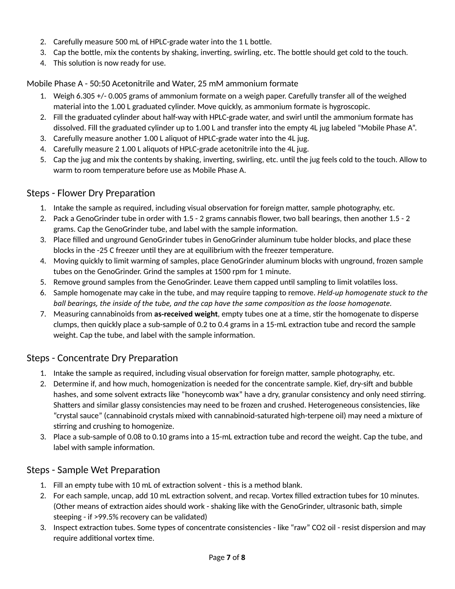- 2. Carefully measure 500 mL of HPLC-grade water into the 1L bottle.
- 3. Cap the bottle, mix the contents by shaking, inverting, swirling, etc. The bottle should get cold to the touch.
- 4. This solution is now ready for use.

#### Mobile Phase A - 50:50 Acetonitrile and Water, 25 mM ammonium formate

- 1. Weigh 6.305 +/- 0.005 grams of ammonium formate on a weigh paper. Carefully transfer all of the weighed material into the 1.00 L graduated cylinder. Move quickly, as ammonium formate is hygroscopic.
- 2. Fill the graduated cylinder about half-way with HPLC-grade water, and swirl until the ammonium formate has dissolved. Fill the graduated cylinder up to 1.00 L and transfer into the empty 4L jug labeled "Mobile Phase A".
- 3. Carefully measure another 1.00 L aliquot of HPLC-grade water into the 4L jug.
- 4. Carefully measure 2 1.00 L aliquots of HPLC-grade acetonitrile into the 4L jug.
- 5. Cap the jug and mix the contents by shaking, inverting, swirling, etc. until the jug feels cold to the touch. Allow to warm to room temperature before use as Mobile Phase A.

#### Steps - Flower Dry Preparation

- 1. Intake the sample as required, including visual observation for foreign matter, sample photography, etc.
- 2. Pack a GenoGrinder tube in order with 1.5 2 grams cannabis flower, two ball bearings, then another 1.5 2 grams. Cap the GenoGrinder tube, and label with the sample information.
- 3. Place filled and unground GenoGrinder tubes in GenoGrinder aluminum tube holder blocks, and place these blocks in the -25 C freezer until they are at equilibrium with the freezer temperature.
- 4. Moving quickly to limit warming of samples, place GenoGrinder aluminum blocks with unground, frozen sample tubes on the GenoGrinder. Grind the samples at 1500 rpm for 1 minute.
- 5. Remove ground samples from the GenoGrinder. Leave them capped until sampling to limit volatiles loss.
- 6. Sample homogenate may cake in the tube, and may require tapping to remove. *Held-up homogenate stuck to the* ball bearings, the inside of the tube, and the cap have the same composition as the loose homogenate.
- 7. Measuring cannabinoids from as-received weight, empty tubes one at a time, stir the homogenate to disperse clumps, then quickly place a sub-sample of 0.2 to 0.4 grams in a 15-mL extraction tube and record the sample weight. Cap the tube, and label with the sample information.

## Steps - Concentrate Dry Preparation

- 1. Intake the sample as required, including visual observation for foreign matter, sample photography, etc.
- 2. Determine if, and how much, homogenization is needed for the concentrate sample. Kief, dry-sift and bubble hashes, and some solvent extracts like "honeycomb wax" have a dry, granular consistency and only need stirring. Shatters and similar glassy consistencies may need to be frozen and crushed. Heterogeneous consistencies, like "crystal sauce" (cannabinoid crystals mixed with cannabinoid-saturated high-terpene oil) may need a mixture of stirring and crushing to homogenize.
- 3. Place a sub-sample of 0.08 to 0.10 grams into a 15-mL extraction tube and record the weight. Cap the tube, and label with sample information.

#### Steps - Sample Wet Preparation

- 1. Fill an empty tube with 10 mL of extraction solvent this is a method blank.
- 2. For each sample, uncap, add 10 mL extraction solvent, and recap. Vortex filled extraction tubes for 10 minutes. (Other means of extraction aides should work - shaking like with the GenoGrinder, ultrasonic bath, simple steeping - if >99.5% recovery can be validated)
- 3. Inspect extraction tubes. Some types of concentrate consistencies like "raw" CO2 oil resist dispersion and may require additional vortex time.